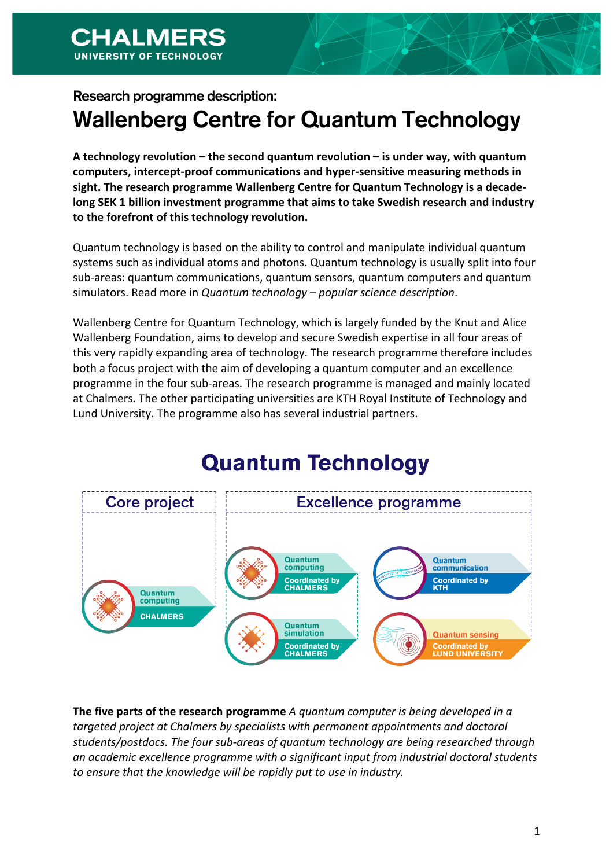**CHALMERS** 

# Research programme description: Wallenberg Centre for Quantum Technology

A technology revolution – the second quantum revolution – is under way, with quantum computers, intercept-proof communications and hyper-sensitive measuring methods in sight. The research programme Wallenberg Centre for Quantum Technology is a decade**long SEK 1 billion investment programme that aims to take Swedish research and industry** to the forefront of this technology revolution.

Quantum technology is based on the ability to control and manipulate individual quantum systems such as individual atoms and photons. Quantum technology is usually split into four sub-areas: quantum communications, quantum sensors, quantum computers and quantum simulators. Read more in *Quantum technology – popular science description*.

Wallenberg Centre for Quantum Technology, which is largely funded by the Knut and Alice Wallenberg Foundation, aims to develop and secure Swedish expertise in all four areas of this very rapidly expanding area of technology. The research programme therefore includes both a focus project with the aim of developing a quantum computer and an excellence programme in the four sub-areas. The research programme is managed and mainly located at Chalmers. The other participating universities are KTH Royal Institute of Technology and Lund University. The programme also has several industrial partners.

# **Quantum Technology**



**The five parts of the research programme** *A quantum computer is being developed in a* targeted project at Chalmers by specialists with permanent appointments and doctoral students/postdocs. The four sub-areas of quantum technology are being researched through an academic excellence programme with a significant input from industrial doctoral students to ensure that the knowledge will be rapidly put to use in industry.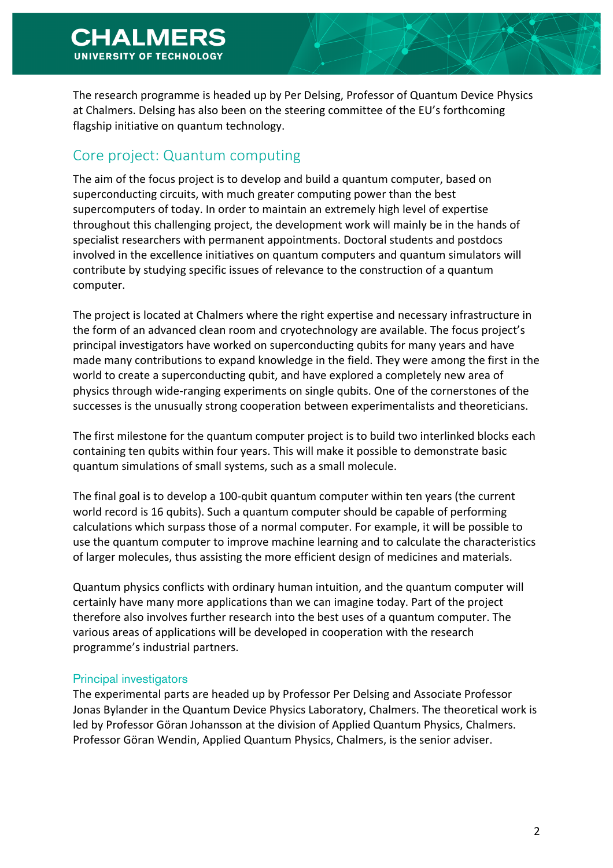The research programme is headed up by Per Delsing, Professor of Quantum Device Physics at Chalmers. Delsing has also been on the steering committee of the EU's forthcoming flagship initiative on quantum technology.

## Core project: Quantum computing

The aim of the focus project is to develop and build a quantum computer, based on superconducting circuits, with much greater computing power than the best supercomputers of today. In order to maintain an extremely high level of expertise throughout this challenging project, the development work will mainly be in the hands of specialist researchers with permanent appointments. Doctoral students and postdocs involved in the excellence initiatives on quantum computers and quantum simulators will contribute by studying specific issues of relevance to the construction of a quantum computer.

The project is located at Chalmers where the right expertise and necessary infrastructure in the form of an advanced clean room and cryotechnology are available. The focus project's principal investigators have worked on superconducting qubits for many years and have made many contributions to expand knowledge in the field. They were among the first in the world to create a superconducting qubit, and have explored a completely new area of physics through wide-ranging experiments on single qubits. One of the cornerstones of the successes is the unusually strong cooperation between experimentalists and theoreticians.

The first milestone for the quantum computer project is to build two interlinked blocks each containing ten qubits within four years. This will make it possible to demonstrate basic quantum simulations of small systems, such as a small molecule.

The final goal is to develop a 100-qubit quantum computer within ten years (the current world record is 16 qubits). Such a quantum computer should be capable of performing calculations which surpass those of a normal computer. For example, it will be possible to use the quantum computer to improve machine learning and to calculate the characteristics of larger molecules, thus assisting the more efficient design of medicines and materials.

Quantum physics conflicts with ordinary human intuition, and the quantum computer will certainly have many more applications than we can imagine today. Part of the project therefore also involves further research into the best uses of a quantum computer. The various areas of applications will be developed in cooperation with the research programme's industrial partners.

#### Principal investigators

The experimental parts are headed up by Professor Per Delsing and Associate Professor Jonas Bylander in the Quantum Device Physics Laboratory, Chalmers. The theoretical work is led by Professor Göran Johansson at the division of Applied Quantum Physics, Chalmers. Professor Göran Wendin, Applied Quantum Physics, Chalmers, is the senior adviser.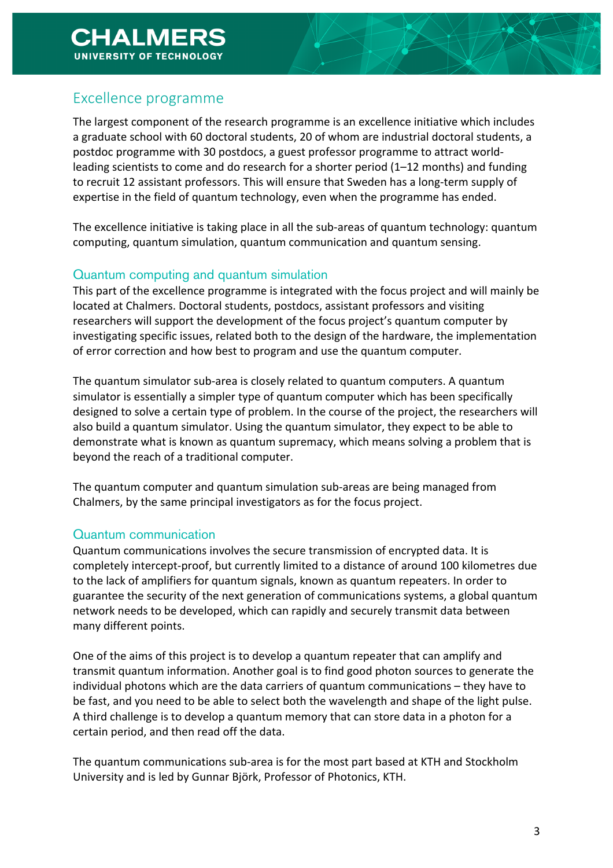## Excellence programme

The largest component of the research programme is an excellence initiative which includes a graduate school with 60 doctoral students, 20 of whom are industrial doctoral students, a postdoc programme with 30 postdocs, a guest professor programme to attract worldleading scientists to come and do research for a shorter period  $(1-12 \text{ months})$  and funding to recruit 12 assistant professors. This will ensure that Sweden has a long-term supply of expertise in the field of quantum technology, even when the programme has ended.

The excellence initiative is taking place in all the sub-areas of quantum technology: quantum computing, quantum simulation, quantum communication and quantum sensing.

### Quantum computing and quantum simulation

This part of the excellence programme is integrated with the focus project and will mainly be located at Chalmers. Doctoral students, postdocs, assistant professors and visiting researchers will support the development of the focus project's quantum computer by investigating specific issues, related both to the design of the hardware, the implementation of error correction and how best to program and use the quantum computer.

The quantum simulator sub-area is closely related to quantum computers. A quantum simulator is essentially a simpler type of quantum computer which has been specifically designed to solve a certain type of problem. In the course of the project, the researchers will also build a quantum simulator. Using the quantum simulator, they expect to be able to demonstrate what is known as quantum supremacy, which means solving a problem that is beyond the reach of a traditional computer.

The quantum computer and quantum simulation sub-areas are being managed from Chalmers, by the same principal investigators as for the focus project.

#### Quantum communication

Quantum communications involves the secure transmission of encrypted data. It is completely intercept-proof, but currently limited to a distance of around 100 kilometres due to the lack of amplifiers for quantum signals, known as quantum repeaters. In order to guarantee the security of the next generation of communications systems, a global quantum network needs to be developed, which can rapidly and securely transmit data between many different points.

One of the aims of this project is to develop a quantum repeater that can amplify and transmit quantum information. Another goal is to find good photon sources to generate the individual photons which are the data carriers of quantum communications – they have to be fast, and you need to be able to select both the wavelength and shape of the light pulse. A third challenge is to develop a quantum memory that can store data in a photon for a certain period, and then read off the data.

The quantum communications sub-area is for the most part based at KTH and Stockholm University and is led by Gunnar Björk, Professor of Photonics, KTH.